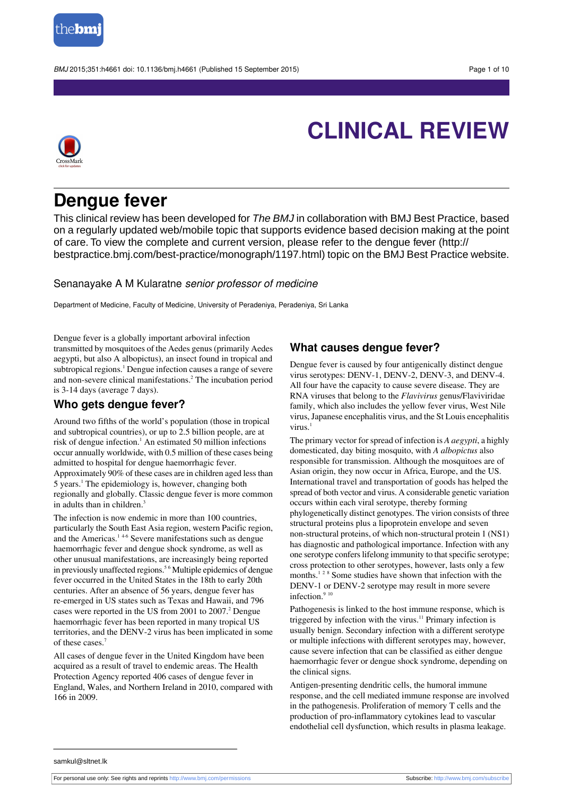

BMJ 2015:351:h4661 doi: 10.1136/bmi.h4661 (Published 15 September 2015) Page 1 of 10



# **CLINICAL REVIEW**

## **Dengue fever**

This clinical review has been developed for *The BMJ* in collaboration with BMJ Best Practice, based on a regularly updated web/mobile topic that supports evidence based decision making at the point of care. To view the complete and current version, please refer to the dengue fever ([http://](http://bestpractice.bmj.com/best-practice/monograph/1197.html) [bestpractice.bmj.com/best-practice/monograph/1197.html](http://bestpractice.bmj.com/best-practice/monograph/1197.html)) topic on the BMJ Best Practice website.

Senanayake A M Kularatne senior professor of medicine

Department of Medicine, Faculty of Medicine, University of Peradeniya, Peradeniya, Sri Lanka

Dengue fever is a globally important arboviral infection transmitted by mosquitoes of the Aedes genus(primarily Aedes aegypti, but also A albopictus), an insect found in tropical and subtropical regions.<sup>1</sup> Dengue infection causes a range of severe and non-severe clinical manifestations.<sup>2</sup> The incubation period is 3-14 days (average 7 days).

## **Who gets dengue fever?**

Around two fifths of the world's population (those in tropical and subtropical countries), or up to 2.5 billion people, are at risk of dengue infection.<sup>1</sup> An estimated 50 million infections occur annually worldwide, with 0.5 million of these cases being admitted to hospital for dengue haemorrhagic fever. Approximately 90% of these cases are in children aged lessthan 5 years.<sup>1</sup> The epidemiology is, however, changing both regionally and globally. Classic dengue fever is more common in adults than in children.<sup>3</sup>

The infection is now endemic in more than 100 countries, particularly the South East Asia region, western Pacific region, and the Americas.<sup>14-6</sup> Severe manifestations such as dengue haemorrhagic fever and dengue shock syndrome, as well as other unusual manifestations, are increasingly being reported in previously unaffected regions.<sup>56</sup> Multiple epidemics of dengue fever occurred in the United States in the 18th to early 20th centuries. After an absence of 56 years, dengue fever has re-emerged in US states such as Texas and Hawaii, and 796 cases were reported in the US from 2001 to 2007.<sup>2</sup> Dengue haemorrhagic fever has been reported in many tropical US territories, and the DENV-2 virus has been implicated in some of these cases.<sup>7</sup>

All cases of dengue fever in the United Kingdom have been acquired as a result of travel to endemic areas. The Health Protection Agency reported 406 cases of dengue fever in England, Wales, and Northern Ireland in 2010, compared with 166 in 2009.

## **What causes dengue fever?**

Dengue fever is caused by four antigenically distinct dengue virus serotypes: DENV-1, DENV-2, DENV-3, and DENV-4. All four have the capacity to cause severe disease. They are RNA viruses that belong to the *Flavivirus* genus/Flaviviridae family, which also includes the yellow fever virus, West Nile virus,Japanese encephalitis virus, and the St Louis encephalitis virus.<sup>1</sup>

The primary vector forspread of infection is *A aegypti*, a highly domesticated, day biting mosquito, with *A albopictus* also responsible for transmission. Although the mosquitoes are of Asian origin, they now occur in Africa, Europe, and the US. International travel and transportation of goods has helped the spread of both vector and virus. A considerable genetic variation occurs within each viral serotype, thereby forming phylogenetically distinct genotypes. The virion consists of three structural proteins plus a lipoprotein envelope and seven non-structural proteins, of which non-structural protein 1 (NS1) has diagnostic and pathological importance. Infection with any one serotype confers lifelong immunity to that specific serotype; cross protection to other serotypes, however, lasts only a few months.<sup>128</sup> Some studies have shown that infection with the DENV-1 or DENV-2 serotype may result in more severe infection. $910$ 

Pathogenesis is linked to the host immune response, which is triggered by infection with the virus.<sup>11</sup> Primary infection is usually benign. Secondary infection with a different serotype or multiple infections with different serotypes may, however, cause severe infection that can be classified as either dengue haemorrhagic fever or dengue shock syndrome, depending on the clinical signs.

Antigen-presenting dendritic cells, the humoral immune response, and the cell mediated immune response are involved in the pathogenesis. Proliferation of memory T cells and the production of pro-inflammatory cytokines lead to vascular endothelial cell dysfunction, which results in plasma leakage.

samkul@sltnet.lk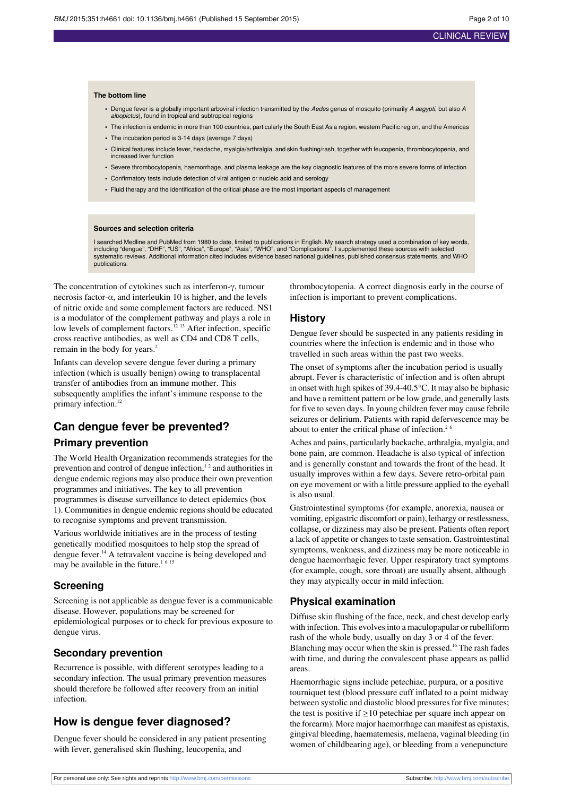#### **The bottom line**

- Dengue fever is a globally important arboviral infection transmitted by the Aedes genus of mosquito (primarily A aegypti, but also A albopictus), found in tropical and subtropical regions
- **•** The infection is endemic in more than 100 countries, particularly the South East Asia region, western Pacific region, and the Americas **•** The incubation period is 3-14 days (average 7 days)
- 
- **•** Clinical features include fever, headache, myalgia/arthralgia, and skin flushing/rash, together with leucopenia, thrombocytopenia, and increased liver function
- **•** Severe thrombocytopenia, haemorrhage, and plasma leakage are the key diagnostic features of the more severe forms of infection
- **•** Confirmatory tests include detection of viral antigen or nucleic acid and serology
- **•** Fluid therapy and the identification of the critical phase are the most important aspects of management

#### **Sources and selection criteria**

l searched Medline and PubMed from 1980 to date, limited to publications in English. My search strategy used a combination of key words,<br>including "dengue", "DHF", "US", "Africa", "Europe", "Asia", "WHO", and "Complication systematic reviews. Additional information cited includes evidence based national guidelines, published consensus statements, and WHO publications.

The concentration of cytokines such as interferon-γ, tumour necrosis factor-α, and interleukin 10 is higher, and the levels of nitric oxide and some complement factors are reduced. NS1 is a modulator of the complement pathway and plays a role in low levels of complement factors.<sup>12 13</sup> After infection, specific cross reactive antibodies, as well as CD4 and CD8 T cells, remain in the body for years.<sup>2</sup>

Infants can develop severe dengue fever during a primary infection (which is usually benign) owing to transplacental transfer of antibodies from an immune mother. This subsequently amplifies the infant's immune response to the primary infection.<sup>12</sup>

#### **Can dengue fever be prevented?**

#### **Primary prevention**

The World Health Organization recommends strategies for the prevention and control of dengue infection, $1<sup>2</sup>$  and authorities in dengue endemic regions may also produce their own prevention programmes and initiatives. The key to all prevention programmes is disease surveillance to detect epidemics (box 1). Communities in dengue endemic regions should be educated to recognise symptoms and prevent transmission.

Various worldwide initiatives are in the process of testing genetically modified mosquitoes to help stop the spread of dengue fever.<sup>14</sup> A tetravalent vaccine is being developed and may be available in the future.<sup>1 6 15</sup>

#### **Screening**

Screening is not applicable as dengue fever is a communicable disease. However, populations may be screened for epidemiological purposes or to check for previous exposure to dengue virus.

#### **Secondary prevention**

Recurrence is possible, with different serotypes leading to a secondary infection. The usual primary prevention measures should therefore be followed after recovery from an initial infection.

### **How is dengue fever diagnosed?**

Dengue fever should be considered in any patient presenting with fever, generalised skin flushing, leucopenia, and

thrombocytopenia. A correct diagnosis early in the course of infection is important to prevent complications.

#### **History**

Dengue fever should be suspected in any patients residing in countries where the infection is endemic and in those who travelled in such areas within the past two weeks.

The onset of symptoms after the incubation period is usually abrupt. Fever is characteristic of infection and is often abrupt in onset with high spikes of 39.4-40.5°C. It may also be biphasic and have a remittent pattern or be low grade, and generally lasts for five to seven days. In young children fever may cause febrile seizures or delirium. Patients with rapid defervescence may be about to enter the critical phase of infection.<sup>26</sup>

Aches and pains, particularly backache, arthralgia, myalgia, and bone pain, are common. Headache is also typical of infection and is generally constant and towards the front of the head. It usually improves within a few days. Severe retro-orbital pain on eye movement or with a little pressure applied to the eyeball is also usual.

Gastrointestinal symptoms (for example, anorexia, nausea or vomiting, epigastric discomfort or pain), lethargy or restlessness, collapse, or dizziness may also be present. Patients often report a lack of appetite or changes to taste sensation. Gastrointestinal symptoms, weakness, and dizziness may be more noticeable in dengue haemorrhagic fever. Upper respiratory tract symptoms (for example, cough, sore throat) are usually absent, although they may atypically occur in mild infection.

#### **Physical examination**

Diffuse skin flushing of the face, neck, and chest develop early with infection. This evolves into a maculopapular or rubelliform rash of the whole body, usually on day 3 or 4 of the fever. Blanching may occur when the skin is pressed.<sup>16</sup> The rash fades with time, and during the convalescent phase appears as pallid areas.

Haemorrhagic signs include petechiae, purpura, or a positive tourniquet test (blood pressure cuff inflated to a point midway between systolic and diastolic blood pressures for five minutes; the test is positive if  $\geq 10$  petechiae per square inch appear on the forearm). More major haemorrhage can manifest as epistaxis, gingival bleeding, haematemesis, melaena, vaginal bleeding (in women of childbearing age), or bleeding from a venepuncture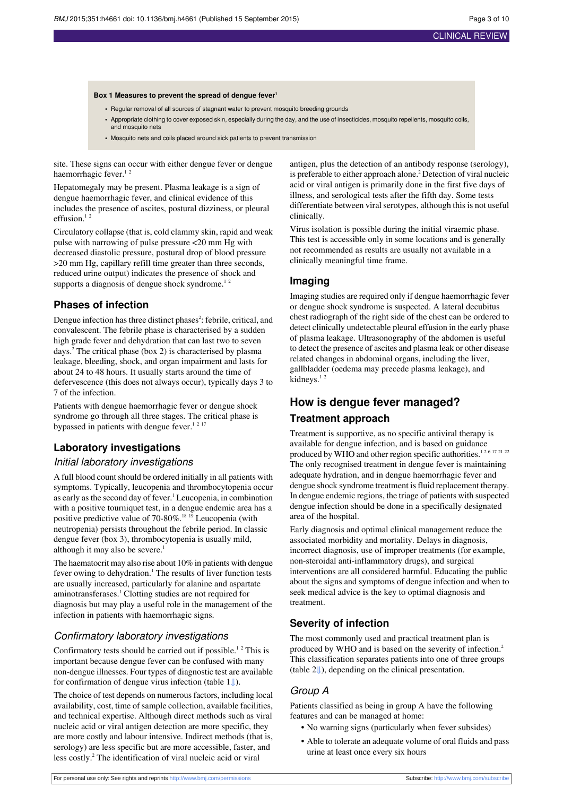#### **Box 1 Measures to prevent the spread of dengue fever<sup>1</sup>**

- **•** Regular removal of all sources of stagnant water to prevent mosquito breeding grounds
- **•** Appropriate clothing to cover exposed skin, especially during the day, and the use of insecticides, mosquito repellents, mosquito coils, and mosquito nets
- **•** Mosquito nets and coils placed around sick patients to prevent transmission

site. These signs can occur with either dengue fever or dengue haemorrhagic fever.<sup>12</sup>

Hepatomegaly may be present. Plasma leakage is a sign of dengue haemorrhagic fever, and clinical evidence of this includes the presence of ascites, postural dizziness, or pleural effusion. $12$ 

Circulatory collapse (that is, cold clammy skin, rapid and weak pulse with narrowing of pulse pressure <20 mm Hg with decreased diastolic pressure, postural drop of blood pressure >20 mm Hg, capillary refill time greater than three seconds, reduced urine output) indicates the presence of shock and supports a diagnosis of dengue shock syndrome. $12$ 

#### **Phases of infection**

Dengue infection has three distinct phases<sup>2</sup>: febrile, critical, and convalescent. The febrile phase is characterised by a sudden high grade fever and dehydration that can last two to seven days.<sup>2</sup> The critical phase (box 2) is characterised by plasma leakage, bleeding, shock, and organ impairment and lasts for about 24 to 48 hours. It usually starts around the time of defervescence (this does not always occur), typically days 3 to 7 of the infection.

Patients with dengue haemorrhagic fever or dengue shock syndrome go through all three stages. The critical phase is bypassed in patients with dengue fever.<sup>12 17</sup>

#### **Laboratory investigations**

#### Initial laboratory investigations

A full blood count should be ordered initially in all patients with symptoms. Typically, leucopenia and thrombocytopenia occur as early as the second day of fever.<sup>1</sup> Leucopenia, in combination with a positive tourniquet test, in a dengue endemic area has a positive predictive value of 70-80%.<sup>18 19</sup> Leucopenia (with neutropenia) persists throughout the febrile period. In classic dengue fever (box 3), thrombocytopenia is usually mild, although it may also be severe.<sup>1</sup>

The haematocrit may also rise about 10% in patients with dengue fever owing to dehydration.<sup>1</sup> The results of liver function tests are usually increased, particularly for alanine and aspartate aminotransferases.<sup>1</sup> Clotting studies are not required for diagnosis but may play a useful role in the management of the infection in patients with haemorrhagic signs.

#### Confirmatory laboratory investigations

Confirmatory tests should be carried out if possible.<sup>12</sup> This is important because dengue fever can be confused with many non-dengue illnesses. Four types of diagnostic test are available for confirmation of dengue virus infection (table  $1 \downarrow$ ).

The choice of test depends on numerous factors, including local availability, cost, time of sample collection, available facilities, and technical expertise. Although direct methods such as viral nucleic acid or viral antigen detection are more specific, they are more costly and labour intensive. Indirect methods (that is, serology) are less specific but are more accessible, faster, and less costly.<sup>2</sup> The identification of viral nucleic acid or viral

antigen, plus the detection of an antibody response (serology), is preferable to either approach alone.<sup>2</sup> Detection of viral nucleic acid or viral antigen is primarily done in the first five days of illness, and serological tests after the fifth day. Some tests differentiate between viral serotypes, although this is not useful clinically.

Virus isolation is possible during the initial viraemic phase. This test is accessible only in some locations and is generally not recommended as results are usually not available in a clinically meaningful time frame.

#### **Imaging**

Imaging studies are required only if dengue haemorrhagic fever or dengue shock syndrome is suspected. A lateral decubitus chest radiograph of the right side of the chest can be ordered to detect clinically undetectable pleural effusion in the early phase of plasma leakage. Ultrasonography of the abdomen is useful to detect the presence of ascites and plasma leak or other disease related changes in abdominal organs, including the liver, gallbladder (oedema may precede plasma leakage), and kidneys. $12$ 

## **How is dengue fever managed? Treatment approach**

Treatment is supportive, as no specific antiviral therapy is available for dengue infection, and is based on guidance produced by WHO and other region specific authorities.<sup>126172122</sup> The only recognised treatment in dengue fever is maintaining adequate hydration, and in dengue haemorrhagic fever and dengue shock syndrome treatment isfluid replacement therapy. In dengue endemic regions, the triage of patients with suspected dengue infection should be done in a specifically designated area of the hospital.

Early diagnosis and optimal clinical management reduce the associated morbidity and mortality. Delays in diagnosis, incorrect diagnosis, use of improper treatments (for example, non-steroidal anti-inflammatory drugs), and surgical interventions are all considered harmful. Educating the public about the signs and symptoms of dengue infection and when to seek medical advice is the key to optimal diagnosis and treatment.

#### **Severity of infection**

The most commonly used and practical treatment plan is produced by WHO and is based on the severity of infection.<sup>2</sup> This classification separates patients into one of three groups (table 2[⇓\)](#page-8-0), depending on the clinical presentation.

#### Group A

Patients classified as being in group A have the following features and can be managed at home:

- **•** No warning signs (particularly when fever subsides)
- **•** Able to tolerate an adequate volume of oral fluids and pass urine at least once every six hours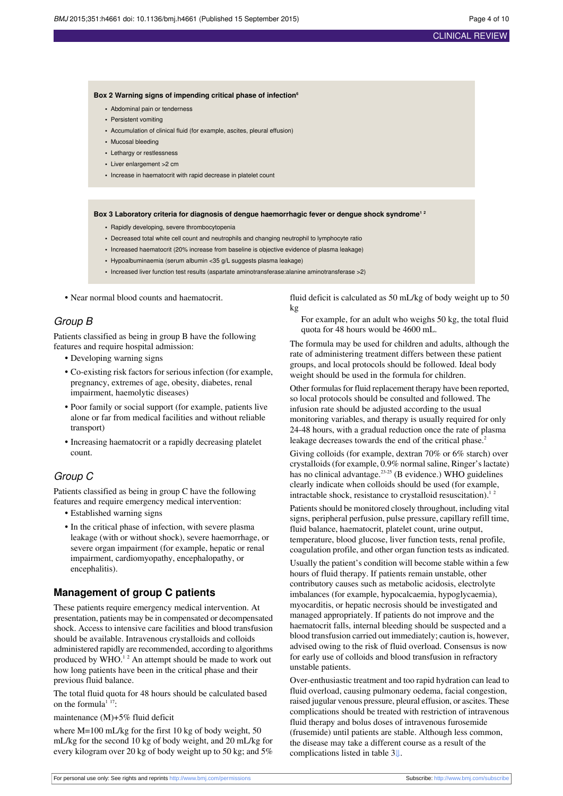#### **Box 2 Warning signs of impending critical phase of infection<sup>6</sup>**

- **•** Abdominal pain or tenderness
- **•** Persistent vomiting
- **•** Accumulation of clinical fluid (for example, ascites, pleural effusion)
- **•** Mucosal bleeding
- **•** Lethargy or restlessness
- **•** Liver enlargement >2 cm
- **•** Increase in haematocrit with rapid decrease in platelet count

**Box 3 Laboratory criteria for diagnosis of dengue haemorrhagic fever or dengue shock syndrome<sup>1</sup> <sup>2</sup>**

- **•** Rapidly developing, severe thrombocytopenia
- **•** Decreased total white cell count and neutrophils and changing neutrophil to lymphocyte ratio
- **•** Increased haematocrit (20% increase from baseline is objective evidence of plasma leakage)
- **•** Hypoalbuminaemia (serum albumin <35 g/L suggests plasma leakage)
- **•** Increased liver function test results (aspartate aminotransferase:alanine aminotransferase >2)
- **•** Near normal blood counts and haematocrit.

#### Group B

Patients classified as being in group B have the following features and require hospital admission:

- **•** Developing warning signs
- **•** Co-existing risk factors for serious infection (for example, pregnancy, extremes of age, obesity, diabetes, renal impairment, haemolytic diseases)
- **•** Poor family or social support (for example, patients live alone or far from medical facilities and without reliable transport)
- **•** Increasing haematocrit or a rapidly decreasing platelet count.

#### Group C

Patients classified as being in group C have the following features and require emergency medical intervention:

- **•** Established warning signs
- **•** In the critical phase of infection, with severe plasma leakage (with or without shock), severe haemorrhage, or severe organ impairment (for example, hepatic or renal impairment, cardiomyopathy, encephalopathy, or encephalitis).

#### **Management of group C patients**

These patients require emergency medical intervention. At presentation, patients may be in compensated or decompensated shock. Access to intensive care facilities and blood transfusion should be available. Intravenous crystalloids and colloids administered rapidly are recommended, according to algorithms produced by WHO.<sup>12</sup> An attempt should be made to work out how long patients have been in the critical phase and their previous fluid balance.

The total fluid quota for 48 hours should be calculated based on the formula<sup> $117$ </sup>:

#### maintenance (M)+5% fluid deficit

where M=100 mL/kg for the first 10 kg of body weight, 50 mL/kg for the second 10 kg of body weight, and 20 mL/kg for every kilogram over 20 kg of body weight up to 50 kg; and 5% fluid deficit is calculated as 50 mL/kg of body weight up to 50 kg

For example, for an adult who weighs 50 kg, the total fluid quota for 48 hours would be 4600 mL.

The formula may be used for children and adults, although the rate of administering treatment differs between these patient groups, and local protocols should be followed. Ideal body weight should be used in the formula for children.

Other formulas for fluid replacement therapy have been reported, so local protocols should be consulted and followed. The infusion rate should be adjusted according to the usual monitoring variables, and therapy is usually required for only 24-48 hours, with a gradual reduction once the rate of plasma leakage decreases towards the end of the critical phase.<sup>2</sup>

Giving colloids (for example, dextran 70% or 6% starch) over crystalloids(for example, 0.9% normalsaline, Ringer'slactate) has no clinical advantage.<sup>23-25</sup> (B evidence.) WHO guidelines clearly indicate when colloids should be used (for example, intractable shock, resistance to crystalloid resuscitation).<sup>12</sup>

Patients should be monitored closely throughout, including vital signs, peripheral perfusion, pulse pressure, capillary refill time, fluid balance, haematocrit, platelet count, urine output, temperature, blood glucose, liver function tests, renal profile, coagulation profile, and other organ function tests as indicated.

Usually the patient's condition will become stable within a few hours of fluid therapy. If patients remain unstable, other contributory causes such as metabolic acidosis, electrolyte imbalances (for example, hypocalcaemia, hypoglycaemia), myocarditis, or hepatic necrosis should be investigated and managed appropriately. If patients do not improve and the haematocrit falls, internal bleeding should be suspected and a blood transfusion carried out immediately; caution is, however, advised owing to the risk of fluid overload. Consensus is now for early use of colloids and blood transfusion in refractory unstable patients.

Over-enthusiastic treatment and too rapid hydration can lead to fluid overload, causing pulmonary oedema, facial congestion, raised jugular venous pressure, pleural effusion, or ascites. These complications should be treated with restriction of intravenous fluid therapy and bolus doses of intravenous furosemide (frusemide) until patients are stable. Although less common, the disease may take a different course as a result of the complications listed in table [3⇓](#page-9-0).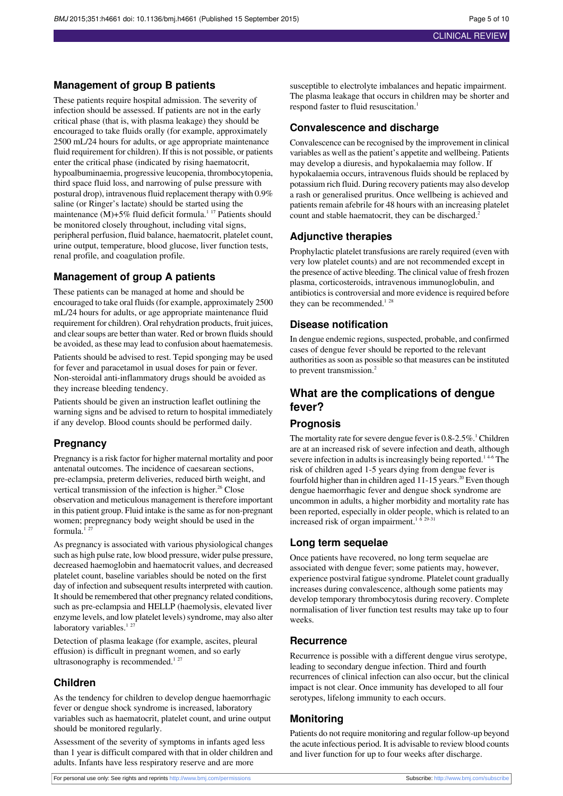#### **Management of group B patients**

These patients require hospital admission. The severity of infection should be assessed. If patients are not in the early critical phase (that is, with plasma leakage) they should be encouraged to take fluids orally (for example, approximately 2500 mL/24 hours for adults, or age appropriate maintenance fluid requirement for children). If this is not possible, or patients enter the critical phase (indicated by rising haematocrit, hypoalbuminaemia, progressive leucopenia, thrombocytopenia, third space fluid loss, and narrowing of pulse pressure with postural drop), intravenousfluid replacement therapy with 0.9% saline (or Ringer's lactate) should be started using the maintenance  $(M)+5\%$  fluid deficit formula.<sup>1 17</sup> Patients should be monitored closely throughout, including vital signs, peripheral perfusion, fluid balance, haematocrit, platelet count, urine output, temperature, blood glucose, liver function tests, renal profile, and coagulation profile.

#### **Management of group A patients**

These patients can be managed at home and should be encouraged to take oral fluids(for example, approximately 2500 mL/24 hours for adults, or age appropriate maintenance fluid requirement for children). Oral rehydration products, fruit juices, and clear soups are better than water. Red or brown fluids should be avoided, asthese may lead to confusion about haematemesis.

Patients should be advised to rest. Tepid sponging may be used for fever and paracetamol in usual doses for pain or fever. Non-steroidal anti-inflammatory drugs should be avoided as they increase bleeding tendency.

Patients should be given an instruction leaflet outlining the warning signs and be advised to return to hospital immediately if any develop. Blood counts should be performed daily.

#### **Pregnancy**

Pregnancy is a risk factor for higher maternal mortality and poor antenatal outcomes. The incidence of caesarean sections, pre-eclampsia, preterm deliveries, reduced birth weight, and vertical transmission of the infection is higher. $26$  Close observation and meticulous management is therefore important in this patient group. Fluid intake is the same as for non-pregnant women; prepregnancy body weight should be used in the formula.<sup>1</sup>

As pregnancy is associated with various physiological changes such as high pulse rate, low blood pressure, wider pulse pressure, decreased haemoglobin and haematocrit values, and decreased platelet count, baseline variables should be noted on the first day of infection and subsequent results interpreted with caution. It should be remembered that other pregnancy related conditions, such as pre-eclampsia and HELLP (haemolysis, elevated liver enzyme levels, and low platelet levels) syndrome, may also alter laboratory variables.<sup>127</sup>

Detection of plasma leakage (for example, ascites, pleural effusion) is difficult in pregnant women, and so early ultrasonography is recommended.<sup>127</sup>

#### **Children**

As the tendency for children to develop dengue haemorrhagic fever or dengue shock syndrome is increased, laboratory variables such as haematocrit, platelet count, and urine output should be monitored regularly.

Assessment of the severity of symptoms in infants aged less than 1 year is difficult compared with that in older children and adults. Infants have less respiratory reserve and are more

susceptible to electrolyte imbalances and hepatic impairment. The plasma leakage that occurs in children may be shorter and respond faster to fluid resuscitation.<sup>1</sup>

#### **Convalescence and discharge**

Convalescence can be recognised by the improvement in clinical variables as well asthe patient's appetite and wellbeing. Patients may develop a diuresis, and hypokalaemia may follow. If hypokalaemia occurs, intravenous fluids should be replaced by potassium rich fluid. During recovery patients may also develop a rash or generalised pruritus. Once wellbeing is achieved and patients remain afebrile for 48 hours with an increasing platelet count and stable haematocrit, they can be discharged.<sup>2</sup>

#### **Adjunctive therapies**

Prophylactic platelet transfusions are rarely required (even with very low platelet counts) and are not recommended except in the presence of active bleeding. The clinical value of fresh frozen plasma, corticosteroids, intravenous immunoglobulin, and antibiotics is controversial and more evidence is required before they can be recommended.<sup>128</sup>

#### **Disease notification**

In dengue endemic regions, suspected, probable, and confirmed cases of dengue fever should be reported to the relevant authorities assoon as possible so that measures can be instituted to prevent transmission.<sup>2</sup>

## **What are the complications of dengue fever?**

#### **Prognosis**

The mortality rate for severe dengue fever is  $0.8-2.5\%$ .<sup>1</sup> Children are at an increased risk of severe infection and death, although severe infection in adults is increasingly being reported.<sup>14-6</sup> The risk of children aged 1-5 years dying from dengue fever is fourfold higher than in children aged  $11-15$  years.<sup>20</sup> Even though dengue haemorrhagic fever and dengue shock syndrome are uncommon in adults, a higher morbidity and mortality rate has been reported, especially in older people, which is related to an increased risk of organ impairment.<sup>1</sup>  $\overline{6}$  29-31

#### **Long term sequelae**

Once patients have recovered, no long term sequelae are associated with dengue fever; some patients may, however, experience postviral fatigue syndrome. Platelet count gradually increases during convalescence, although some patients may develop temporary thrombocytosis during recovery. Complete normalisation of liver function test results may take up to four weeks.

#### **Recurrence**

Recurrence is possible with a different dengue virus serotype, leading to secondary dengue infection. Third and fourth recurrences of clinical infection can also occur, but the clinical impact is not clear. Once immunity has developed to all four serotypes, lifelong immunity to each occurs.

#### **Monitoring**

Patients do not require monitoring and regular follow-up beyond the acute infectious period. It is advisable to review blood counts and liver function for up to four weeks after discharge.

For personal use only: See rights and reprints<http://www.bmj.com/permissions> Subscribe: <http://www.bmj.com/subscribe>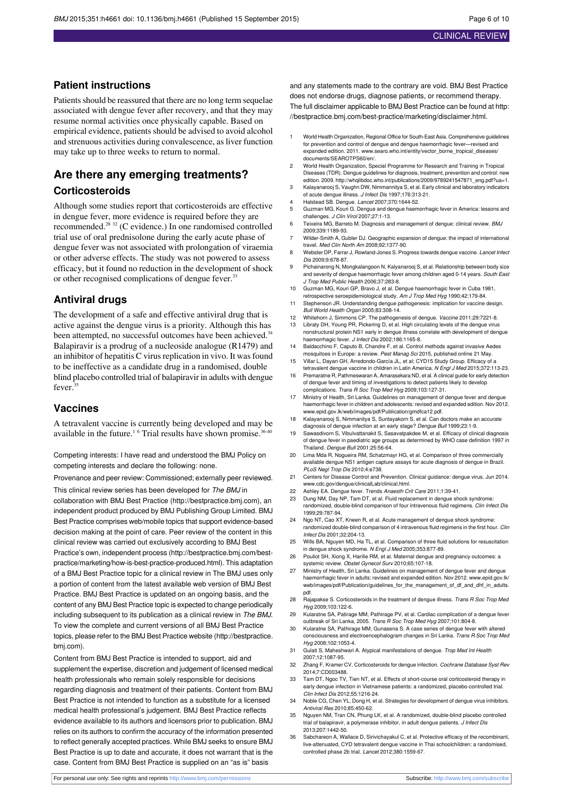#### **Patient instructions**

Patients should be reassured that there are no long term sequelae associated with dengue fever after recovery, and that they may resume normal activities once physically capable. Based on empirical evidence, patients should be advised to avoid alcohol and strenuous activities during convalescence, as liver function may take up to three weeks to return to normal.

#### **Are there any emerging treatments?**

#### **Corticosteroids**

Although some studies report that corticosteroids are effective in dengue fever, more evidence is required before they are recommended.<sup>28</sup> <sup>32</sup> (C evidence.) In one randomised controlled trial use of oral prednisolone during the early acute phase of dengue fever was not associated with prolongation of viraemia or other adverse effects. The study was not powered to assess efficacy, but it found no reduction in the development of shock or other recognised complications of dengue fever.<sup>33</sup>

#### **Antiviral drugs**

The development of a safe and effective antiviral drug that is active against the dengue virus is a priority. Although this has been attempted, no successful outcomes have been achieved.<sup>34</sup> Balapiravir is a prodrug of a nucleoside analogue (R1479) and an inhibitor of hepatitis C virus replication in vivo. It was found to be ineffective as a candidate drug in a randomised, double blind placebo controlled trial of balapiravir in adults with dengue fever. $35$ 

#### **Vaccines**

A tetravalent vaccine is currently being developed and may be available in the future.<sup>16</sup> Trial results have shown promise.<sup>36-4</sup>

Competing interests: I have read and understood the BMJ Policy on competing interests and declare the following: none.

Provenance and peer review: Commissioned; externally peer reviewed. This clinical review series has been developed for The BMJ in

collaboration with BMJ Best Practice ([http://bestpractice.bmj.com](http://bestpractice.bmj.com/)), an independent product produced by BMJ Publishing Group Limited. BMJ Best Practice comprises web/mobile topics that support evidence-based decision making at the point of care. Peer review of the content in this clinical review was carried out exclusively according to BMJ Best Practice's own, independent process ([http://bestpractice.bmj.com/best](http://bestpractice.bmj.com/best-practice/marketing/how-is-best-practice-produced.html)[practice/marketing/how-is-best-practice-produced.html\)](http://bestpractice.bmj.com/best-practice/marketing/how-is-best-practice-produced.html). This adaptation of a BMJ Best Practice topic for a clinical review in The BMJ uses only a portion of content from the latest available web version of BMJ Best Practice. BMJ Best Practice is updated on an ongoing basis, and the content of any BMJ Best Practice topic is expected to change periodically including subsequent to its publication as a clinical review in The BMJ. To view the complete and current versions of all BMJ Best Practice topics, please refer to the BMJ Best Practice website ([http://bestpractice.](http://bestpractice.bmj.com/) [bmj.com](http://bestpractice.bmj.com/)).

Content from BMJ Best Practice is intended to support, aid and supplement the expertise, discretion and judgement of licensed medical health professionals who remain solely responsible for decisions regarding diagnosis and treatment of their patients. Content from BMJ Best Practice is not intended to function as a substitute for a licensed medical health professional's judgement. BMJ Best Practice reflects evidence available to its authors and licensors prior to publication. BMJ relies on its authors to confirm the accuracy of the information presented to reflect generally accepted practices. While BMJ seeks to ensure BMJ Best Practice is up to date and accurate, it does not warrant that is the case. Content from BMJ Best Practice is supplied on an "as is" basis

and any statements made to the contrary are void. BMJ Best Practice does not endorse drugs, diagnose patients, or recommend therapy. The full disclaimer applicable to BMJ Best Practice can be found at [http:](http://bestpractice.bmj.com/best-practice/marketing/disclaimer.html) [//bestpractice.bmj.com/best-practice/marketing/disclaimer.html.](http://bestpractice.bmj.com/best-practice/marketing/disclaimer.html)

- 1 World Health Organization, Regional Office for South-East Asia. Comprehensive guidelines for prevention and control of dengue and dengue haemorrhagic fever—revised and expanded edition. 2011. www.searo.who.int/entity/vector\_borne\_tropical\_diseases. [documents/SEAROTPS60/en/](http://www.searo.who.int/entity/vector_borne_tropical_diseases/documents/SEAROTPS60/en/).
- 2 World Health Organization, Special Programme for Research and Training in Tropical Diseases (TDR). Dengue guidelines for diagnosis, treatment, prevention and control: new edition. 2009. [http://whqlibdoc.who.int/publications/2009/9789241547871\\_eng.pdf?ua=1](http://whqlibdoc.who.int/publications/2009/9789241547871_eng.pdf?ua=1).
- 3 Kalayanarooj S, Vaughn DW, Nimmannitya S, et al. Early clinical and laboratory indicators of acute dengue illness. J Infect Dis 1997;176:313-21.
- 4 Halstead SB. Dengue. Lancet 2007;370:1644-52.
- 5 Guzman MG, Kouri G. Dengue and dengue haemorrhagic fever in America: lessons and challenges. J Clin Virol 2007;27:1-13.
- 6 Teixeira MG, Barreto M. Diagnosis and management of dengue: clinical review. BMJ 2009;339:1189-93.
- Wilder-Smith A, Gubler DJ. Geographic expansion of dengue: the impact of international travel. Med Clin North Am 2008;92:1377-90.
- 8 Webster DP, Farrar J, Rowland-Jones S. Progress towards dengue vaccine. Lancet Infect Dis 2009;9:678-87.
- 9 Pichainarong N, Mongkalangoon N, Kalyanarooj S, et al. Relationship between body size and severity of dengue haemorrhagic fever among children aged 0-14 years. South East J Trop Med Public Health 2006;37:283-8.
- 10 Guzman MG, Kouri GP, Bravo J, et al. Dengue haemorrhagic fever in Cuba 1981, retrospective seroepidemiological study. Am J Trop Med Hyg 1990;42:179-84.
- 11 Stephenson JR. Understanding dengue pathogenesis: implication for vaccine design. Bull World Health Organ 2005;83:308-14.
- 12 Whitehorn J, Simmons CP. The pathogenesis of dengue. Vaccine 2011;29:7221-8. 13 Libraty DH, Young PR, Pickering D, et al. High circulating levels of the dengue virus
- nonstructural protein NS1 early in dengue illness correlate with development of dengue haemorrhagic fever. J Infect Dis 2002:186:1165-8.
- 14 Baldacchino F, Caputo B, Chandre F, et al. Control methods against invasive Aedes mosquitoes in Europe: a review. Pest Manag Sci 2015, published online 21 May
- 15 Villar L, Dayan GH, Arredondo-García JL, et al; CYD15 Study Group. Efficacy of a tetravalent dengue vaccine in children in Latin America. N Engl J Med 2015;372:113-23.
- 16 Premaratne R, Pathmeswaran A, Amarasekara ND, et al. A clinical guide for early dete of dengue fever and timing of investigations to detect patients likely to develop complications. Trans R Soc Trop Med Hyg 2009;103:127-31.
- 17 Ministry of Health, Sri Lanka. Guidelines on management of dengue fever and dengue haemorrhagic fever in children and adolescents: revised and expanded edition. Nov 2012. [www.epid.gov.lk/web/images/pdf/Publication/gmdfca12.pdf](http://www.epid.gov.lk/web/images/pdf/Publication/gmdfca12.pdf).
- 18 Kalayanarooj S, Nimmanitya S, Suntayakorn S, et al. Can doctors make an accurate diagnosis of dengue infection at an early stage? Dengue Bull 1999;23:1-9.
- 19 Sawasdivorn S, Vibulvattanakit S, Sasavatpakdee M, et al. Efficacy of clinical diagnosis of dengue fever in paediatric age groups as determined by WHO case definition 1997 in Thailand. Dengue Bull 2001;25:56-64.
- 20 Lima Mda R, Nogueira RM, Schatzmayr HG, et al. Comparison of three commercially available dengue NS1 antigen capture assays for acute diagnosis of dengue in Brazil. PLoS Negl Trop Dis 2010;4:e738.
- 21 Centers for Disease Control and Prevention. Clinical guidance: dengue virus. Jun 2014. [www.cdc.gov/dengue/clinicalLab/clinical.html.](http://www.cdc.gov/dengue/clinicalLab/clinical.html)
- 22 Ashley EA. Dengue fever. Trends Anaesth Crit Care 2011;1:39-41.<br>23 Dung NM, Day NP, Tam DT, et al. Fluid replacement in dengue she
- Dung NM, Day NP, Tam DT, et al. Fluid replacement in dengue shock syndrome: randomized, double-blind comparison of four intravenous fluid regimens. Clin Infect Dis 1999;29:787-94.
- 24 Ngo NT, Cao XT, Kneen R, et al. Acute management of dengue shock syndrome: randomized double-blind comparison of 4 intravenous fluid regimens in the first hour. Clin Infect Dis 2001;32:204-13.
- 25 Wills BA, Nguyen MD, Ha TL, et al. Comparison of three fluid solutions for resuscitation in dengue shock syndrome. N Engl J Med 2005;353:877-89.
- 26 Pouliot SH, Xiong X, Harille RM, et al. Maternal dengue and pregnancy outcomes: a systemic review. Obstet Gynecol Sury 2010:65:107-18.
- 27 Ministry of Health, Sri Lanka. Guidelines on management of dengue fever and dengue haemorrhagic fever in adults: revised and expanded edition. Nov 2012. www.epid.go [web/images/pdf/Publication/guidelines\\_for\\_the\\_management\\_of\\_df\\_and\\_dhf\\_in\\_adults.](http://www.epid.gov.lk/web/images/pdf/Publication/guidelines_for_the_management_of_df_and_dhf_in_adults.pdf) [pdf.](http://www.epid.gov.lk/web/images/pdf/Publication/guidelines_for_the_management_of_df_and_dhf_in_adults.pdf)
- 28 Rajapakse S. Corticosteroids in the treatment of dengue illness. Trans R Soc Trop Med Hyg 2009;103:122-6.
- 29 Kularatne SA, Patirage MM, Pathirage PV, et al. Cardiac complication of a dengue fever outbreak of Sri Lanka, 2005. Trans R Soc Trop Med Hyg 2007;101:804-8.
- Kularatne SA, Pathirage MM, Gunasena S. A case series of dengue fever with altered consciousness and electroencephalogram changes in Sri Lanka. Trans R Soc Trop Med Hyg 2008;102:1053-4.
- 31 Gulati S, Maheshwari A. Atypical manifestations of dengue. Trop Med Int Health 2007;12:1087-95.
- 32 Zhang F, Kramer CV. Corticosteroids for dengue infection. Cochrane Database Syst Rev 2014;7:CD003488.
- 33 Tam DT, Ngoc TV, Tien NT, et al. Effects of short-course oral corticosteroid therapy in early dengue infection in Vietnamese patients: a randomized, placebo-controlled trial. Clin Infect Dis 2012;55:1216-24.
- 34 Noble CG, Chen YL, Dong H, et al. Strategies for development of dengue virus inhibitors. Antiviral Res 2010;85:450-62.
- 35 Nguyen NM, Tran CN, Phung LK, et al. A randomized, double-blind placebo controlled trial of balapiravir, a polymerase inhibitor, in adult dengue patients, *J Infect Dis* 2013;207:1442-50.
- Sabchareon A, Wallace D, Sirivichayakul C, et al. Protective efficacy of the recombinant, live-attenuated, CYD tetravalent dengue vaccine in Thai schoolchildren: a randomised, controlled phase 2b trial. Lancet 2012;380:1559-67.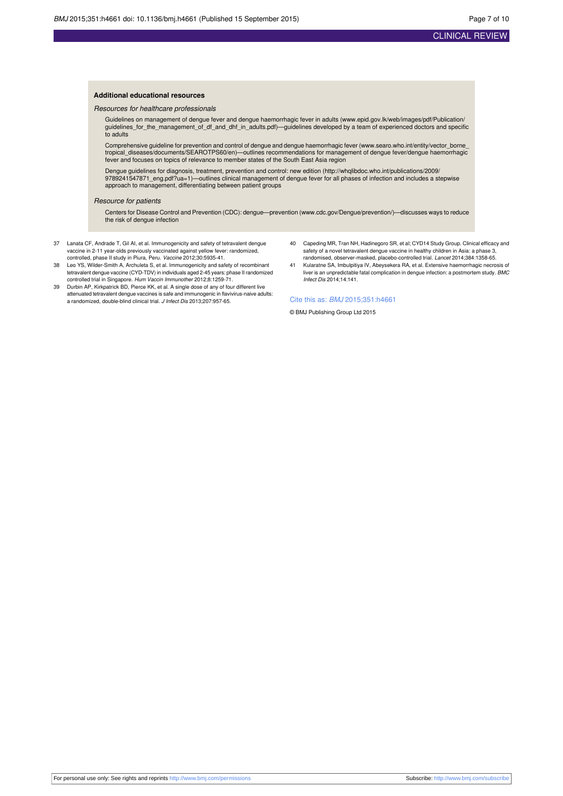#### **Additional educational resources**

#### Resources for healthcare professionals

Guidelines on management of dengue fever and dengue haemorrhagic fever in adults ([www.epid.gov.lk/web/images/pdf/Publication/](http://www.epid.gov.lk/web/images/pdf/Publication/guidelines_for_the_management_of_df_and_dhf_in_adults.pdf) [guidelines\\_for\\_the\\_management\\_of\\_df\\_and\\_dhf\\_in\\_adults.pdf\)](http://www.epid.gov.lk/web/images/pdf/Publication/guidelines_for_the_management_of_df_and_dhf_in_adults.pdf)—guidelines developed by a team of experienced doctors and specific to adults

Comprehensive guideline for prevention and control of dengue and dengue haemorrhagic fever ([www.searo.who.int/entity/vector\\_borne\\_](http://www.searo.who.int/entity/vector_borne_tropical_diseases/documents/SEAROTPS60/en) [tropical\\_diseases/documents/SEAROTPS60/en\)](http://www.searo.who.int/entity/vector_borne_tropical_diseases/documents/SEAROTPS60/en)—outlines recommendations for management of dengue fever/dengue haemorrhagic fever and focuses on topics of relevance to member states of the South East Asia region

Dengue guidelines for diagnosis, treatment, prevention and control: new edition ([http://whqlibdoc.who.int/publications/2009/](http://whqlibdoc.who.int/publications/2009/9789241547871_eng.pdf?ua=1) [9789241547871\\_eng.pdf?ua=1\)](http://whqlibdoc.who.int/publications/2009/9789241547871_eng.pdf?ua=1)—outlines clinical management of dengue fever for all phases of infection and includes a stepwise approach to management, differentiating between patient groups

#### Resource for patients

Centers for Disease Control and Prevention (CDC): dengue—prevention ([www.cdc.gov/Dengue/prevention/](http://www.cdc.gov/Dengue/prevention/))—discusses ways to reduce the risk of dengue infection

- 37 Lanata CF, Andrade T, Gil AI, et al. Immunogenicity and safety of tetravalent dengue vaccine in 2-11 year-olds previously vaccinated against yellow fever: randomized, controlled, phase II study in Piura, Peru. Vaccine 2012;30:5935-41.
- 38 Leo YS, Wilder-Smith A, Archuleta S, et al. Immunogenicity and safety of recombinant tetravalent dengue vaccine (CYD-TDV) in individuals aged 2-45 years: phase II randomized controlled trial in Singapore. Hum Vaccin Immunother 2012;8:1259-71.
- 39 Durbin AP, Kirkpatrick BD, Pierce KK, et al. A single dose of any of four different live attenuated tetravalent dengue vaccines is safe and immunogenic in flavivirus-naive adults: a randomized, double-blind clinical trial. J Infect Dis 2013;207:957-65.
- 40 Capeding MR, Tran NH, Hadinegoro SR, et al; CYD14 Study Group. Clinical efficacy and safety of a novel tetravalent dengue vaccine in healthy children in Asia: a phase 3, randomised, observer-masked, placebo-controlled trial. Lancet 2014;384:1358-65.
- 41 Kularatne SA, Imbulpitiya IV, Abeysekera RA, et al. Extensive haemorrhagic necrosis of liver is an unpredictable fatal complication in dengue infection: a postmortem study. BMC Infect Dis 2014;14:141.

#### Cite this as: BMJ 2015;351:h4661

© BMJ Publishing Group Ltd 2015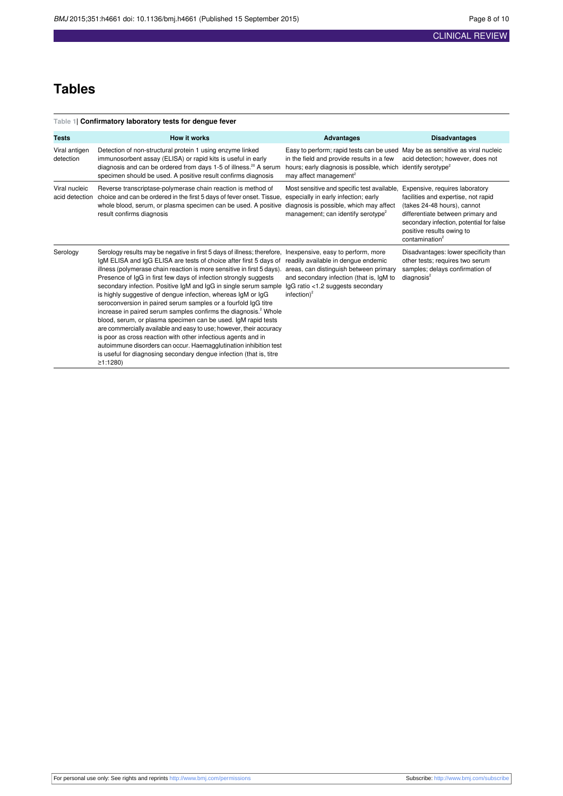## **Tables**

<span id="page-7-0"></span>

| Table 1  Confirmatory laboratory tests for dengue fever |                                                                                                                                                                                                                                                                                                                                                                                                                                                                                                                                                                                                                                                                                                                                                                                                                                                                                                                                                 |                                                                                                                                                                                                                                              |                                                                                                                                                                                                                |  |  |
|---------------------------------------------------------|-------------------------------------------------------------------------------------------------------------------------------------------------------------------------------------------------------------------------------------------------------------------------------------------------------------------------------------------------------------------------------------------------------------------------------------------------------------------------------------------------------------------------------------------------------------------------------------------------------------------------------------------------------------------------------------------------------------------------------------------------------------------------------------------------------------------------------------------------------------------------------------------------------------------------------------------------|----------------------------------------------------------------------------------------------------------------------------------------------------------------------------------------------------------------------------------------------|----------------------------------------------------------------------------------------------------------------------------------------------------------------------------------------------------------------|--|--|
| <b>Tests</b>                                            | <b>How it works</b>                                                                                                                                                                                                                                                                                                                                                                                                                                                                                                                                                                                                                                                                                                                                                                                                                                                                                                                             | <b>Advantages</b>                                                                                                                                                                                                                            | <b>Disadvantages</b>                                                                                                                                                                                           |  |  |
| Viral antigen<br>detection                              | Detection of non-structural protein 1 using enzyme linked<br>immunosorbent assay (ELISA) or rapid kits is useful in early<br>diagnosis and can be ordered from days 1-5 of illness. <sup>20</sup> A serum<br>specimen should be used. A positive result confirms diagnosis                                                                                                                                                                                                                                                                                                                                                                                                                                                                                                                                                                                                                                                                      | Easy to perform; rapid tests can be used May be as sensitive as viral nucleic<br>in the field and provide results in a few<br>hours; early diagnosis is possible, which identify serotype <sup>2</sup><br>may affect management <sup>2</sup> | acid detection; however, does not                                                                                                                                                                              |  |  |
| Viral nucleic<br>acid detection                         | Reverse transcriptase-polymerase chain reaction is method of<br>choice and can be ordered in the first 5 days of fever onset. Tissue,<br>whole blood, serum, or plasma specimen can be used. A positive<br>result confirms diagnosis                                                                                                                                                                                                                                                                                                                                                                                                                                                                                                                                                                                                                                                                                                            | Most sensitive and specific test available, Expensive, requires laboratory<br>especially in early infection; early<br>diagnosis is possible, which may affect<br>management; can identify serotype <sup>2</sup>                              | facilities and expertise, not rapid<br>(takes 24-48 hours), cannot<br>differentiate between primary and<br>secondary infection, potential for false<br>positive results owing to<br>contamination <sup>2</sup> |  |  |
| Serology                                                | Serology results may be negative in first 5 days of illness; therefore,<br>IgM ELISA and IgG ELISA are tests of choice after first 5 days of<br>illness (polymerase chain reaction is more sensitive in first 5 days).<br>Presence of IgG in first few days of infection strongly suggests<br>secondary infection. Positive IgM and IgG in single serum sample<br>is highly suggestive of dengue infection, whereas IgM or IgG<br>seroconversion in paired serum samples or a fourfold IgG titre<br>increase in paired serum samples confirms the diagnosis. <sup>2</sup> Whole<br>blood, serum, or plasma specimen can be used. IgM rapid tests<br>are commercially available and easy to use; however, their accuracy<br>is poor as cross reaction with other infectious agents and in<br>autoimmune disorders can occur. Haemagglutination inhibition test<br>is useful for diagnosing secondary dengue infection (that is, titre<br>≥1:1280 | Inexpensive, easy to perform, more<br>readily available in dengue endemic<br>areas, can distinguish between primary<br>and secondary infection (that is, IgM to<br>IgG ratio <1.2 suggests secondary<br>infection) $^2$                      | Disadvantages: lower specificity than<br>other tests; requires two serum<br>samples; delays confirmation of<br>diagnosis <sup>2</sup>                                                                          |  |  |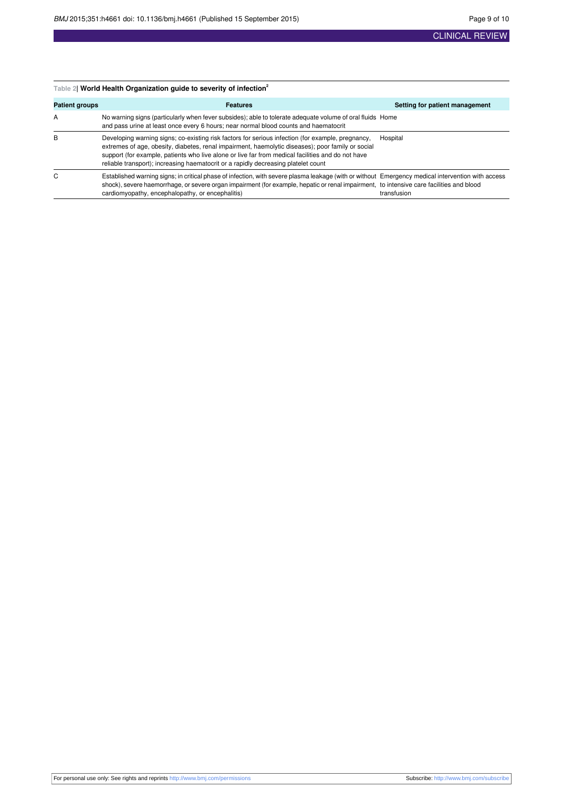#### <span id="page-8-0"></span>**Table 2| World Health Organization guide to severity of infection<sup>2</sup>**

| <b>Patient groups</b> | <b>Features</b>                                                                                                                                                                                                                                                                                                                                                                                   | Setting for patient management |
|-----------------------|---------------------------------------------------------------------------------------------------------------------------------------------------------------------------------------------------------------------------------------------------------------------------------------------------------------------------------------------------------------------------------------------------|--------------------------------|
| A                     | No warning signs (particularly when fever subsides); able to tolerate adequate volume of oral fluids Home<br>and pass urine at least once every 6 hours; near normal blood counts and haematocrit                                                                                                                                                                                                 |                                |
| в                     | Developing warning signs; co-existing risk factors for serious infection (for example, pregnancy,<br>extremes of age, obesity, diabetes, renal impairment, haemolytic diseases); poor family or social<br>support (for example, patients who live alone or live far from medical facilities and do not have<br>reliable transport); increasing haematocrit or a rapidly decreasing platelet count | Hospital                       |
| C                     | Established warning signs; in critical phase of infection, with severe plasma leakage (with or without Emergency medical intervention with access<br>shock), severe haemorrhage, or severe organ impairment (for example, hepatic or renal impairment, to intensive care facilities and blood<br>cardiomyopathy, encephalopathy, or encephalitis)                                                 | transfusion                    |